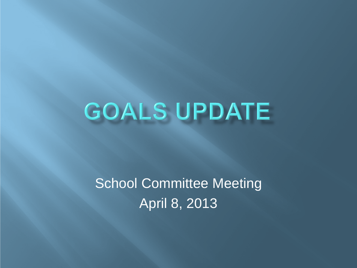# GOALS UPDATE

School Committee Meeting April 8, 2013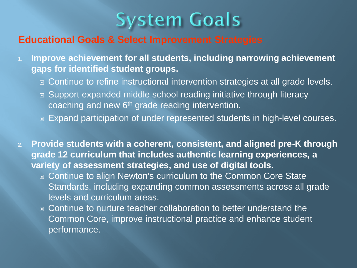

### **Educational Goals & Select Improvement Strategies**

- **1. Improve achievement for all students, including narrowing achievement gaps for identified student groups.**
	- **□ Continue to refine instructional intervention strategies at all grade levels.**
	- Support expanded middle school reading initiative through literacy coaching and new  $6<sup>th</sup>$  grade reading intervention.
	- Expand participation of under represented students in high-level courses.
- **2. Provide students with a coherent, consistent, and aligned pre-K through grade 12 curriculum that includes authentic learning experiences, a variety of assessment strategies, and use of digital tools.**
	- □ Continue to align Newton's curriculum to the Common Core State Standards, including expanding common assessments across all grade levels and curriculum areas.
	- **E** Continue to nurture teacher collaboration to better understand the Common Core, improve instructional practice and enhance student performance.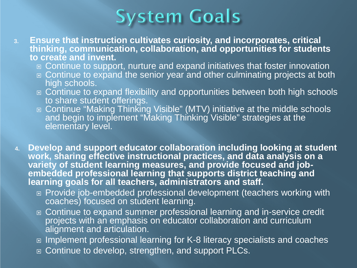

- **3. Ensure that instruction cultivates curiosity, and incorporates, critical thinking, communication, collaboration, and opportunities for students to create and invent.**
	- Continue to support, nurture and expand initiatives that foster innovation
	- Continue to expand the senior year and other culminating projects at both high schools.
	- **□ Continue to expand flexibility and opportunities between both high schools** to share student offerings.
	- □ Continue "Making Thinking Visible" (MTV) initiative at the middle schools and begin to implement "Making Thinking Visible" strategies at the elementary level.
- **4. Develop and support educator collaboration including looking at student work, sharing effective instructional practices, and data analysis on a variety of student learning measures, and provide focused and job- embedded professional learning that supports district teaching and learning goals for all teachers, administrators and staff.**
	- **Provide job-embedded professional development (teachers working with** coaches) focused on student learning.
	- □ Continue to expand summer professional learning and in-service credit projects with an emphasis on educator collaboration and curriculum alignment and articulation.
	- Implement professional learning for K-8 literacy specialists and coaches
	- □ Continue to develop, strengthen, and support PLCs.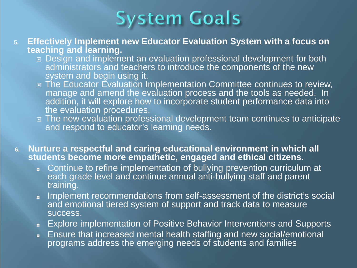

- **5. Effectively Implement new Educator Evaluation System with a focus on teaching and learning.**
	- □ Design and implement an evaluation professional development for both administrators and teachers to introduce the components of the new system and begin using it.
	- □ The Educator Evaluation Implementation Committee continues to review, manage and amend the evaluation process and the tools as needed. In addition, it will explore how to incorporate student performance data into the evaluation procedures.
	- □ The new evaluation professional development team continues to anticipate and respond to educator's learning needs.
- **6. Nurture a respectful and caring educational environment in which all students become more empathetic, engaged and ethical citizens.**
	- ◘ Continue to refine implementation of bullying prevention curriculum at each grade level and continue annual anti-bullying staff and parent training.
	- ◘ Implement recommendations from self-assessment of the district's social and emotional tiered system of support and track data to measure success.
	- ◘ Explore implementation of Positive Behavior Interventions and Supports
	- ◘ Ensure that increased mental health staffing and new social/emotional programs address the emerging needs of students and families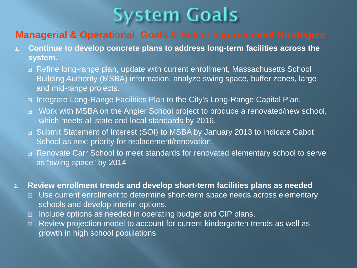# **System Goals**

## **Managerial & Operational Goals & Select Improvement Strategies**

- **1. Continue to develop concrete plans to address long-term facilities across the system.**
	- Refine long-range plan, update with current enrollment, Massachusetts School Building Authority (MSBA) information, analyze swing space, buffer zones, large and mid-range projects.
	- **■** Integrate Long-Range Facilities Plan to the City's Long-Range Capital Plan.
	- □ Work with MSBA on the Angier School project to produce a renovated/new school, which meets all state and local standards by 2016.
	- Submit Statement of Interest (SOI) to MSBA by January 2013 to indicate Cabot School as next priority for replacement/renovation.
	- □ Renovate Carr School to meet standards for renovated elementary school to serve as "swing space" by 2014

#### **2. Review enrollment trends and develop short-term facilities plans as needed**

- □ Use current enrollment to determine short-term space needs across elementary schools and develop interim options.
- $\Box$  Include options as needed in operating budget and CIP plans.
- □ Review projection model to account for current kindergarten trends as well as growth in high school populations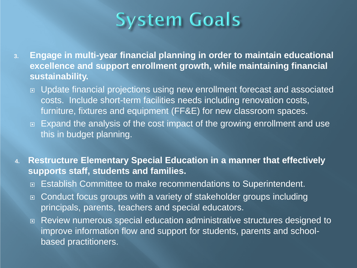

- **3. Engage in multi-year financial planning in order to maintain educational excellence and support enrollment growth, while maintaining financial sustainability.**
	- □ Update financial projections using new enrollment forecast and associated costs. Include short-term facilities needs including renovation costs, furniture, fixtures and equipment (FF&E) for new classroom spaces.
	- Expand the analysis of the cost impact of the growing enrollment and use this in budget planning.
- **4. Restructure Elementary Special Education in a manner that effectively supports staff, students and families.**
	- **□ Establish Committee to make recommendations to Superintendent.**
	- □ Conduct focus groups with a variety of stakeholder groups including principals, parents, teachers and special educators.
	- Review numerous special education administrative structures designed to improve information flow and support for students, parents and schoolbased practitioners.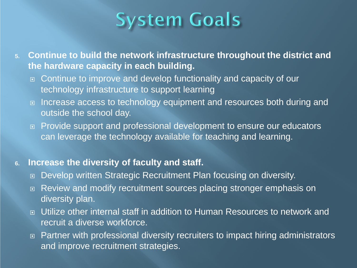

**5. Continue to build the network infrastructure throughout the district and the hardware capacity in each building.**

- □ Continue to improve and develop functionality and capacity of our technology infrastructure to support learning
- Increase access to technology equipment and resources both during and outside the school day.
- □ Provide support and professional development to ensure our educators can leverage the technology available for teaching and learning.

#### **6. Increase the diversity of faculty and staff.**

- Develop written Strategic Recruitment Plan focusing on diversity.
- □ Review and modify recruitment sources placing stronger emphasis on diversity plan.
- Utilize other internal staff in addition to Human Resources to network and recruit a diverse workforce.
- □ Partner with professional diversity recruiters to impact hiring administrators and improve recruitment strategies.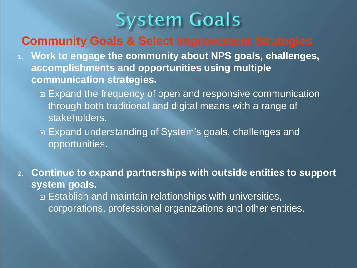

# **Community Goals & Select Improvement Strategies**

- **1. Work to engage the community about NPS goals, challenges, accomplishments and opportunities using multiple communication strategies.**
	- **Expand the frequency of open and responsive communication** through both traditional and digital means with a range of stakeholders.
	- □ Expand understanding of System's goals, challenges and opportunities.
- **2. Continue to expand partnerships with outside entities to support system goals.** □ Establish and maintain relationships with universities,
	- corporations, professional organizations and other entities.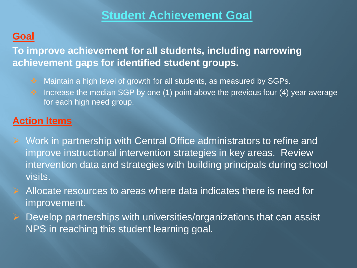# **Student Achievement Goal**

# **Goal**

**To improve achievement for all students, including narrowing achievement gaps for identified student groups.**

- ◆ Maintain a high level of growth for all students, as measured by SGPs.
- $\cdot$  Increase the median SGP by one (1) point above the previous four (4) year average for each high need group.

# **Action Items**

- $\triangleright$  Work in partnership with Central Office administrators to refine and improve instructional intervention strategies in key areas. Review intervention data and strategies with building principals during school visits.
- Allocate resources to areas where data indicates there is need for improvement.
- $\triangleright$  Develop partnerships with universities/organizations that can assist NPS in reaching this student learning goal.